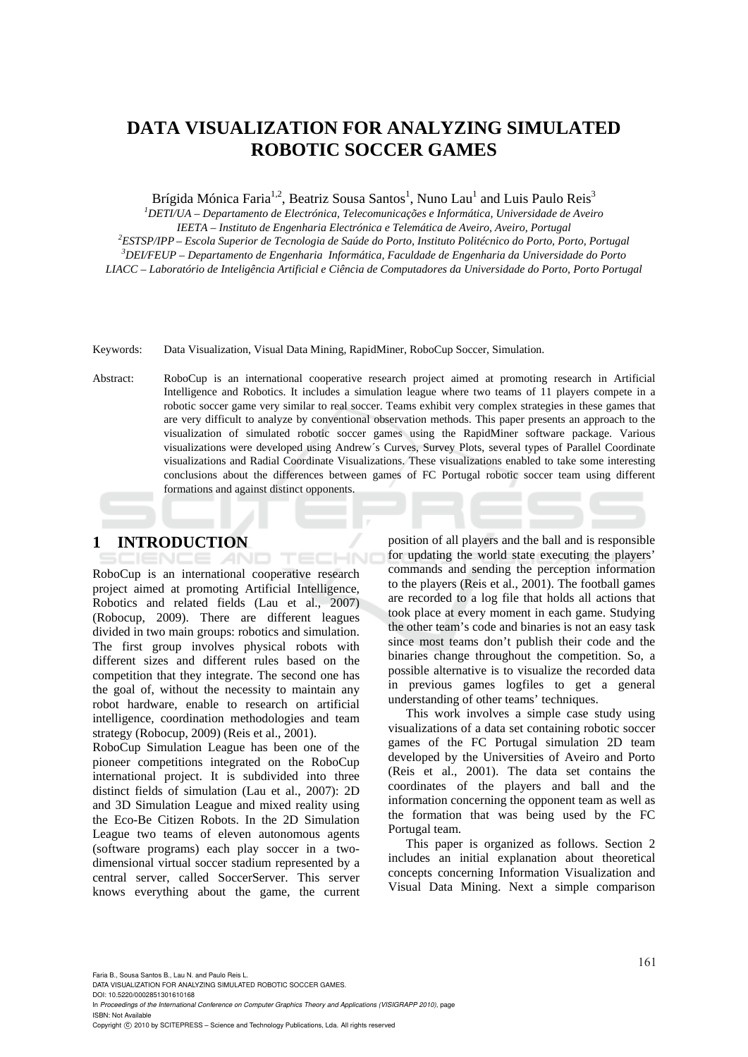# **DATA VISUALIZATION FOR ANALYZING SIMULATED ROBOTIC SOCCER GAMES**

Brígida Mónica Faria<sup>1,2</sup>, Beatriz Sousa Santos<sup>1</sup>, Nuno Lau<sup>1</sup> and Luis Paulo Reis<sup>3</sup>

*1 DETI/UA – Departamento de Electrónica, Telecomunicações e Informática, Universidade de Aveiro IEETA – Instituto de Engenharia Electrónica e Telemática de Aveiro, Aveiro, Portugal 2 ESTSP/IPP – Escola Superior de Tecnologia de Saúde do Porto, Instituto Politécnico do Porto, Porto, Portugal 3 DEI/FEUP – Departamento de Engenharia Informática, Faculdade de Engenharia da Universidade do Porto* 

*LIACC – Laboratório de Inteligência Artificial e Ciência de Computadores da Universidade do Porto, Porto Portugal* 

Keywords: Data Visualization, Visual Data Mining, RapidMiner, RoboCup Soccer, Simulation.

Abstract: RoboCup is an international cooperative research project aimed at promoting research in Artificial Intelligence and Robotics. It includes a simulation league where two teams of 11 players compete in a robotic soccer game very similar to real soccer. Teams exhibit very complex strategies in these games that are very difficult to analyze by conventional observation methods. This paper presents an approach to the visualization of simulated robotic soccer games using the RapidMiner software package. Various visualizations were developed using Andrew´s Curves, Survey Plots, several types of Parallel Coordinate visualizations and Radial Coordinate Visualizations. These visualizations enabled to take some interesting conclusions about the differences between games of FC Portugal robotic soccer team using different formations and against distinct opponents.

# **1 INTRODUCTION**

IENCE *A*ND

TECHNO RoboCup is an international cooperative research project aimed at promoting Artificial Intelligence, Robotics and related fields (Lau et al., 2007) (Robocup, 2009). There are different leagues divided in two main groups: robotics and simulation. The first group involves physical robots with different sizes and different rules based on the competition that they integrate. The second one has the goal of, without the necessity to maintain any robot hardware, enable to research on artificial intelligence, coordination methodologies and team strategy (Robocup, 2009) (Reis et al., 2001).

RoboCup Simulation League has been one of the pioneer competitions integrated on the RoboCup international project. It is subdivided into three distinct fields of simulation (Lau et al., 2007): 2D and 3D Simulation League and mixed reality using the Eco-Be Citizen Robots. In the 2D Simulation League two teams of eleven autonomous agents (software programs) each play soccer in a twodimensional virtual soccer stadium represented by a central server, called SoccerServer. This server knows everything about the game, the current position of all players and the ball and is responsible for updating the world state executing the players' commands and sending the perception information to the players (Reis et al., 2001). The football games are recorded to a log file that holds all actions that took place at every moment in each game. Studying the other team's code and binaries is not an easy task since most teams don't publish their code and the binaries change throughout the competition. So, a possible alternative is to visualize the recorded data in previous games logfiles to get a general understanding of other teams' techniques.

This work involves a simple case study using visualizations of a data set containing robotic soccer games of the FC Portugal simulation 2D team developed by the Universities of Aveiro and Porto (Reis et al., 2001). The data set contains the coordinates of the players and ball and the information concerning the opponent team as well as the formation that was being used by the FC Portugal team.

This paper is organized as follows. Section 2 includes an initial explanation about theoretical concepts concerning Information Visualization and Visual Data Mining. Next a simple comparison

Faria B., Sousa Santos B., Lau N. and Paulo Reis L.

DATA VISUALIZATION FOR ANALYZING SIMULATED ROBOTIC SOCCER GAMES.

DOI: 10.5220/0002851301610168 In *Proceedings of the International Conference on Computer Graphics Theory and Applications (VISIGRAPP 2010)*, page ISBN: Not Available

Copyright (C) 2010 by SCITEPRESS - Science and Technology Publications, Lda. All rights reserved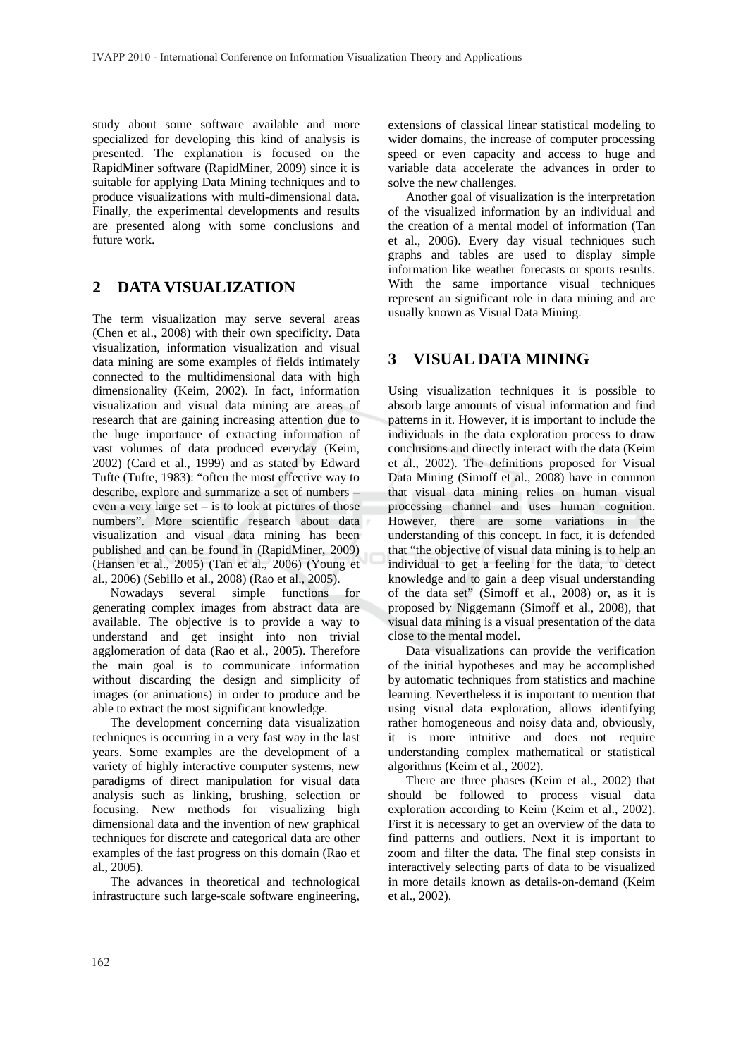study about some software available and more specialized for developing this kind of analysis is presented. The explanation is focused on the RapidMiner software (RapidMiner, 2009) since it is suitable for applying Data Mining techniques and to produce visualizations with multi-dimensional data. Finally, the experimental developments and results are presented along with some conclusions and future work.

### $\overline{2}$ **DATA VISUALIZATION**

The term visualization may serve several areas (Chen et al., 2008) with their own specificity. Data visualization, information visualization and visual data mining are some examples of fields intimately connected to the multidimensional data with high dimensionality (Keim, 2002). In fact, information visualization and visual data mining are areas of research that are gaining increasing attention due to the huge importance of extracting information of vast volumes of data produced everyday (Keim, 2002) (Card et al., 1999) and as stated by Edward Tufte (Tufte, 1983): "often the most effective way to describe, explore and summarize a set of numbers even a very large set  $-$  is to look at pictures of those numbers". More scientific research about data visualization and visual data mining has been published and can be found in (RapidMiner, 2009) (Hansen et al., 2005) (Tan et al., 2006) (Young et al., 2006) (Sebillo et al., 2008) (Rao et al., 2005).

Nowadays several simple functions for generating complex images from abstract data are available. The objective is to provide a way to understand and get insight into non trivial agglomeration of data (Rao et al., 2005). Therefore the main goal is to communicate information without discarding the design and simplicity of images (or animations) in order to produce and be able to extract the most significant knowledge.

The development concerning data visualization techniques is occurring in a very fast way in the last years. Some examples are the development of a variety of highly interactive computer systems, new paradigms of direct manipulation for visual data analysis such as linking, brushing, selection or focusing. New methods for visualizing high dimensional data and the invention of new graphical techniques for discrete and categorical data are other examples of the fast progress on this domain (Rao et al., 2005).

The advances in theoretical and technological infrastructure such large-scale software engineering, extensions of classical linear statistical modeling to wider domains, the increase of computer processing speed or even capacity and access to huge and variable data accelerate the advances in order to solve the new challenges.

Another goal of visualization is the interpretation of the visualized information by an individual and the creation of a mental model of information (Tan et al., 2006). Every day visual techniques such graphs and tables are used to display simple information like weather forecasts or sports results. With the same importance visual techniques represent an significant role in data mining and are usually known as Visual Data Mining.

### **VISUAL DATA MINING** 3

Using visualization techniques it is possible to absorb large amounts of visual information and find patterns in it. However, it is important to include the individuals in the data exploration process to draw conclusions and directly interact with the data (Keim et al., 2002). The definitions proposed for Visual Data Mining (Simoff et al., 2008) have in common that visual data mining relies on human visual processing channel and uses human cognition. However, there are some variations in the understanding of this concept. In fact, it is defended that "the objective of visual data mining is to help an individual to get a feeling for the data, to detect knowledge and to gain a deep visual understanding of the data set" (Simoff et al., 2008) or, as it is proposed by Niggemann (Simoff et al., 2008), that visual data mining is a visual presentation of the data close to the mental model.

Data visualizations can provide the verification of the initial hypotheses and may be accomplished by automatic techniques from statistics and machine learning. Nevertheless it is important to mention that using visual data exploration, allows identifying rather homogeneous and noisy data and, obviously, it is more intuitive and does not require understanding complex mathematical or statistical algorithms (Keim et al., 2002).

There are three phases (Keim et al., 2002) that should be followed to process visual data exploration according to Keim (Keim et al., 2002). First it is necessary to get an overview of the data to find patterns and outliers. Next it is important to zoom and filter the data. The final step consists in interactively selecting parts of data to be visualized in more details known as details-on-demand (Keim et al., 2002).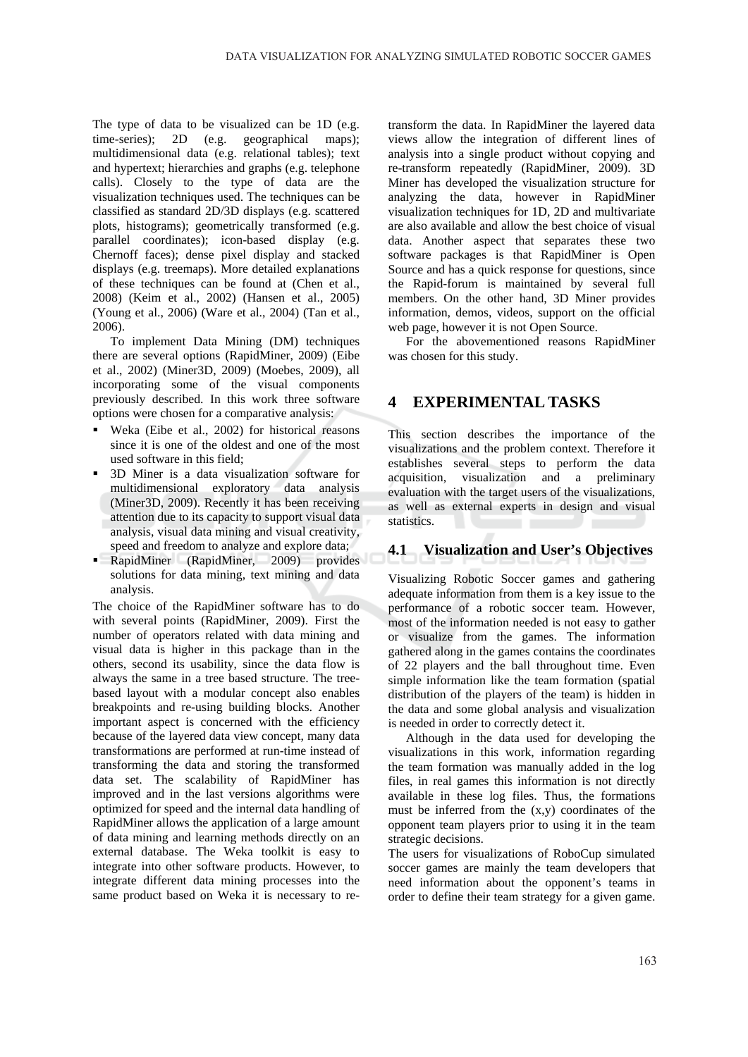The type of data to be visualized can be 1D (e.g. time-series); 2D (e.g. geographical maps); multidimensional data (e.g. relational tables); text and hypertext; hierarchies and graphs (e.g. telephone calls). Closely to the type of data are the visualization techniques used. The techniques can be classified as standard 2D/3D displays (e.g. scattered plots, histograms); geometrically transformed (e.g. parallel coordinates); icon-based display (e.g. Chernoff faces); dense pixel display and stacked displays (e.g. treemaps). More detailed explanations of these techniques can be found at (Chen et al., 2008) (Keim et al., 2002) (Hansen et al., 2005) (Young et al., 2006) (Ware et al., 2004) (Tan et al., 2006).

To implement Data Mining (DM) techniques there are several options (RapidMiner, 2009) (Eibe et al., 2002) (Miner3D, 2009) (Moebes, 2009), all incorporating some of the visual components previously described. In this work three software options were chosen for a comparative analysis:

- Weka (Eibe et al., 2002) for historical reasons since it is one of the oldest and one of the most used software in this field:
- 3D Miner is a data visualization software for multidimensional exploratory data analysis (Miner3D, 2009). Recently it has been receiving attention due to its capacity to support visual data analysis, visual data mining and visual creativity, speed and freedom to analyze and explore data;
- н. RapidMiner (RapidMiner, 2009) provides solutions for data mining, text mining and data analysis.

The choice of the RapidMiner software has to do with several points (RapidMiner, 2009). First the number of operators related with data mining and visual data is higher in this package than in the others, second its usability, since the data flow is always the same in a tree based structure. The treebased layout with a modular concept also enables breakpoints and re-using building blocks. Another important aspect is concerned with the efficiency because of the layered data view concept, many data transformations are performed at run-time instead of transforming the data and storing the transformed data set. The scalability of RapidMiner has improved and in the last versions algorithms were optimized for speed and the internal data handling of RapidMiner allows the application of a large amount of data mining and learning methods directly on an external database. The Weka toolkit is easy to integrate into other software products. However, to integrate different data mining processes into the same product based on Weka it is necessary to re-

transform the data. In RapidMiner the layered data views allow the integration of different lines of analysis into a single product without copying and re-transform repeatedly (RapidMiner, 2009). 3D Miner has developed the visualization structure for analyzing the data, however in RapidMiner visualization techniques for 1D, 2D and multivariate are also available and allow the best choice of visual data. Another aspect that separates these two software packages is that RapidMiner is Open Source and has a quick response for questions, since the Rapid-forum is maintained by several full members. On the other hand, 3D Miner provides information, demos, videos, support on the official web page, however it is not Open Source.

For the abovementioned reasons RapidMiner was chosen for this study.

### **EXPERIMENTAL TASKS**  $\boldsymbol{\Delta}$

This section describes the importance of the visualizations and the problem context. Therefore it establishes several steps to perform the data acquisition, visualization and a preliminary evaluation with the target users of the visualizations, as well as external experts in design and visual statistics.

# 4.1 Visualization and User's Objectives

Visualizing Robotic Soccer games and gathering adequate information from them is a key issue to the performance of a robotic soccer team. However, most of the information needed is not easy to gather or visualize from the games. The information gathered along in the games contains the coordinates of 22 players and the ball throughout time. Even simple information like the team formation (spatial distribution of the players of the team) is hidden in the data and some global analysis and visualization is needed in order to correctly detect it.

Although in the data used for developing the visualizations in this work, information regarding the team formation was manually added in the log files, in real games this information is not directly available in these log files. Thus, the formations must be inferred from the  $(x,y)$  coordinates of the opponent team players prior to using it in the team strategic decisions.

The users for visualizations of RoboCup simulated soccer games are mainly the team developers that need information about the opponent's teams in order to define their team strategy for a given game.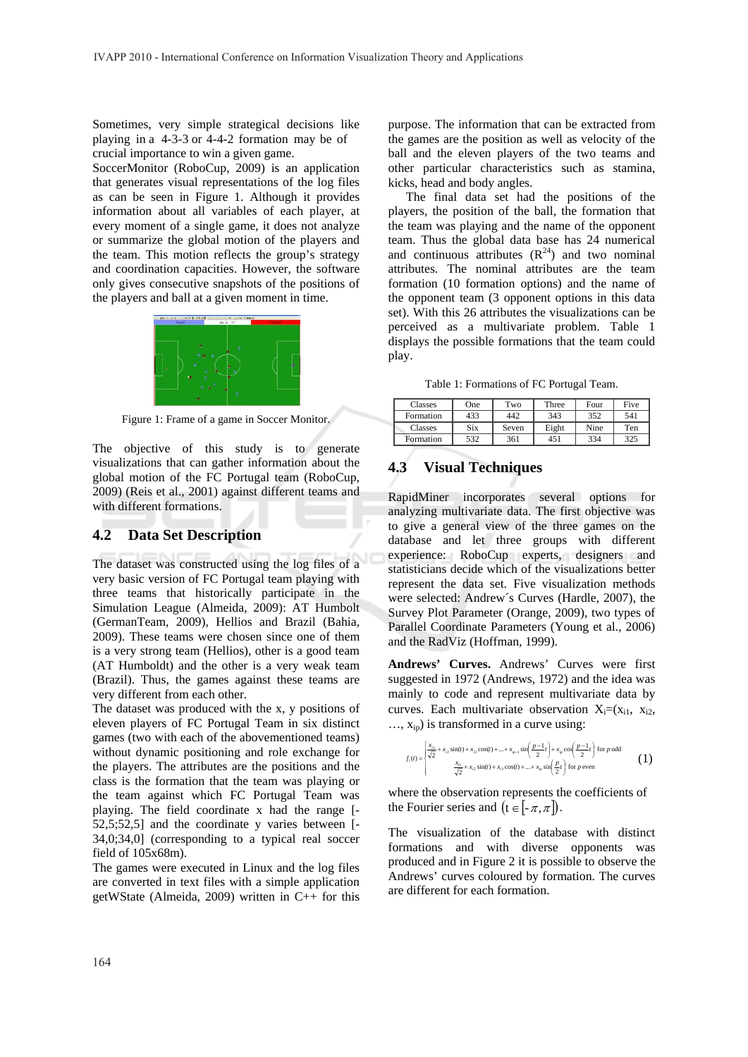Sometimes, very simple strategical decisions like playing in a  $4-3-3$  or  $4-4-2$  formation may be of crucial importance to win a given game.

SoccerMonitor (RoboCup, 2009) is an application that generates visual representations of the log files as can be seen in Figure 1. Although it provides information about all variables of each player, at every moment of a single game, it does not analyze or summarize the global motion of the players and the team. This motion reflects the group's strategy and coordination capacities. However, the software only gives consecutive snapshots of the positions of the players and ball at a given moment in time.



Figure 1: Frame of a game in Soccer Monitor.

The objective of this study is to generate visualizations that can gather information about the global motion of the FC Portugal team (RoboCup, 2009) (Reis et al., 2001) against different teams and with different formations.

#### $4.2$ **Data Set Description**

The dataset was constructed using the log files of a very basic version of FC Portugal team playing with three teams that historically participate in the Simulation League (Almeida, 2009): AT Humbolt (GermanTeam, 2009), Hellios and Brazil (Bahia, 2009). These teams were chosen since one of them is a very strong team (Hellios), other is a good team (AT Humboldt) and the other is a very weak team (Brazil). Thus, the games against these teams are very different from each other.

The dataset was produced with the x, y positions of eleven players of FC Portugal Team in six distinct games (two with each of the abovementioned teams) without dynamic positioning and role exchange for the players. The attributes are the positions and the class is the formation that the team was playing or the team against which FC Portugal Team was playing. The field coordinate x had the range [-52,5;52,5] and the coordinate y varies between [-34,0;34,0] (corresponding to a typical real soccer field of 105x68m).

The games were executed in Linux and the log files are converted in text files with a simple application getWState (Almeida, 2009) written in C++ for this

purpose. The information that can be extracted from the games are the position as well as velocity of the ball and the eleven players of the two teams and other particular characteristics such as stamina, kicks, head and body angles.

The final data set had the positions of the players, the position of the ball, the formation that the team was playing and the name of the opponent team. Thus the global data base has 24 numerical and continuous attributes  $(R^{24})$  and two nominal attributes. The nominal attributes are the team formation (10 formation options) and the name of the opponent team (3 opponent options in this data set). With this 26 attributes the visualizations can be perceived as a multivariate problem. Table 1 displays the possible formations that the team could play.

Table 1: Formations of FC Portugal Team.

| Classes   | One | Two   | Three | Four | Five |
|-----------|-----|-------|-------|------|------|
| Formation | 433 | 442   | 343   | 352  | 541  |
| Classes   | Six | Seven | Eight | Nine | Ten  |
| Formation | 532 | 361   | 451   | 334  | 325  |

#### **Visual Techniques** 4.3

RapidMiner incorporates several options for analyzing multivariate data. The first objective was to give a general view of the three games on the database and let three groups with different experience: RoboCup experts, designers and statisticians decide which of the visualizations better represent the data set. Five visualization methods were selected: Andrew's Curves (Hardle, 2007), the Survey Plot Parameter (Orange, 2009), two types of Parallel Coordinate Parameters (Young et al., 2006) and the RadViz (Hoffman, 1999).

Andrews' Curves. Andrews' Curves were first suggested in 1972 (Andrews, 1972) and the idea was mainly to code and represent multivariate data by curves. Each multivariate observation  $X_i = (x_{i1}, x_{i2},$  $..., x_{ip}$ ) is transformed in a curve using:

$$
f_1(t) = \sqrt{\frac{x_{11}}{\sqrt{2}} + x_{12} \sin(t) + x_{13} \cos(t) + ... + x_{1p-1} \sin(\frac{p-1}{2}t)} + x_{1p} \cos(\frac{p-1}{2}t) \text{ for } p \text{ odd}
$$
  

$$
\frac{x_{11}}{\sqrt{2}} + x_{12} \sin(t) + x_{13} \cos(t) + ... + x_{1p} \sin(\frac{p}{2}t) \text{ for } p \text{ even}
$$
 (1)

where the observation represents the coefficients of the Fourier series and  $(t \in [-\pi, \pi])$ .

The visualization of the database with distinct formations and with diverse opponents was produced and in Figure 2 it is possible to observe the Andrews' curves coloured by formation. The curves are different for each formation.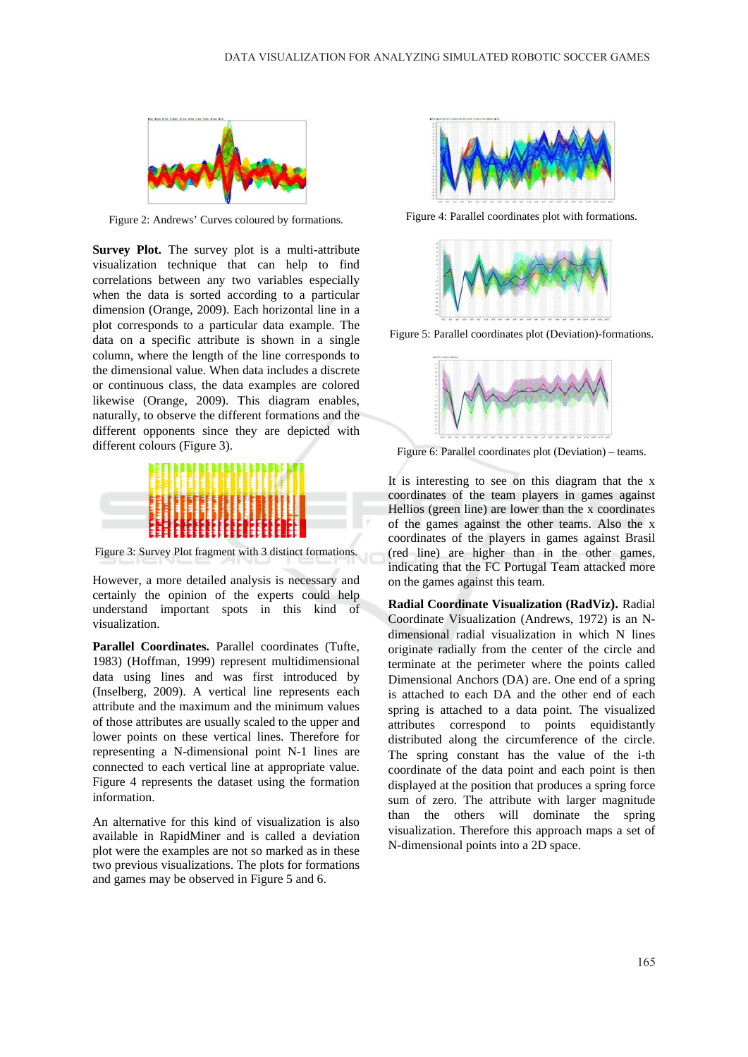

Figure 2: Andrews' Curves coloured by formations.

Survey Plot. The survey plot is a multi-attribute visualization technique that can help to find correlations between any two variables especially when the data is sorted according to a particular dimension (Orange, 2009). Each horizontal line in a plot corresponds to a particular data example. The data on a specific attribute is shown in a single column, where the length of the line corresponds to the dimensional value. When data includes a discrete or continuous class, the data examples are colored likewise (Orange, 2009). This diagram enables, naturally, to observe the different formations and the different opponents since they are depicted with different colours (Figure 3).



Figure 3: Survey Plot fragment with 3 distinct formations.

However, a more detailed analysis is necessary and certainly the opinion of the experts could help understand important spots in this kind of visualization.

Parallel Coordinates. Parallel coordinates (Tufte, 1983) (Hoffman, 1999) represent multidimensional data using lines and was first introduced by (Inselberg, 2009). A vertical line represents each attribute and the maximum and the minimum values of those attributes are usually scaled to the upper and lower points on these vertical lines. Therefore for representing a N-dimensional point N-1 lines are connected to each vertical line at appropriate value. Figure 4 represents the dataset using the formation information.

An alternative for this kind of visualization is also available in RapidMiner and is called a deviation plot were the examples are not so marked as in these two previous visualizations. The plots for formations and games may be observed in Figure 5 and 6.



Figure 4: Parallel coordinates plot with formations.



Figure 5: Parallel coordinates plot (Deviation)-formations.



Figure 6: Parallel coordinates plot (Deviation) - teams.

It is interesting to see on this diagram that the x coordinates of the team players in games against Hellios (green line) are lower than the x coordinates of the games against the other teams. Also the x coordinates of the players in games against Brasil (red line) are higher than in the other games, indicating that the FC Portugal Team attacked more on the games against this team.

Radial Coordinate Visualization (RadViz). Radial Coordinate Visualization (Andrews, 1972) is an Ndimensional radial visualization in which N lines originate radially from the center of the circle and terminate at the perimeter where the points called Dimensional Anchors (DA) are. One end of a spring is attached to each DA and the other end of each spring is attached to a data point. The visualized attributes correspond to points equidistantly distributed along the circumference of the circle. The spring constant has the value of the i-th coordinate of the data point and each point is then displayed at the position that produces a spring force sum of zero. The attribute with larger magnitude than the others will dominate the spring visualization. Therefore this approach maps a set of N-dimensional points into a 2D space.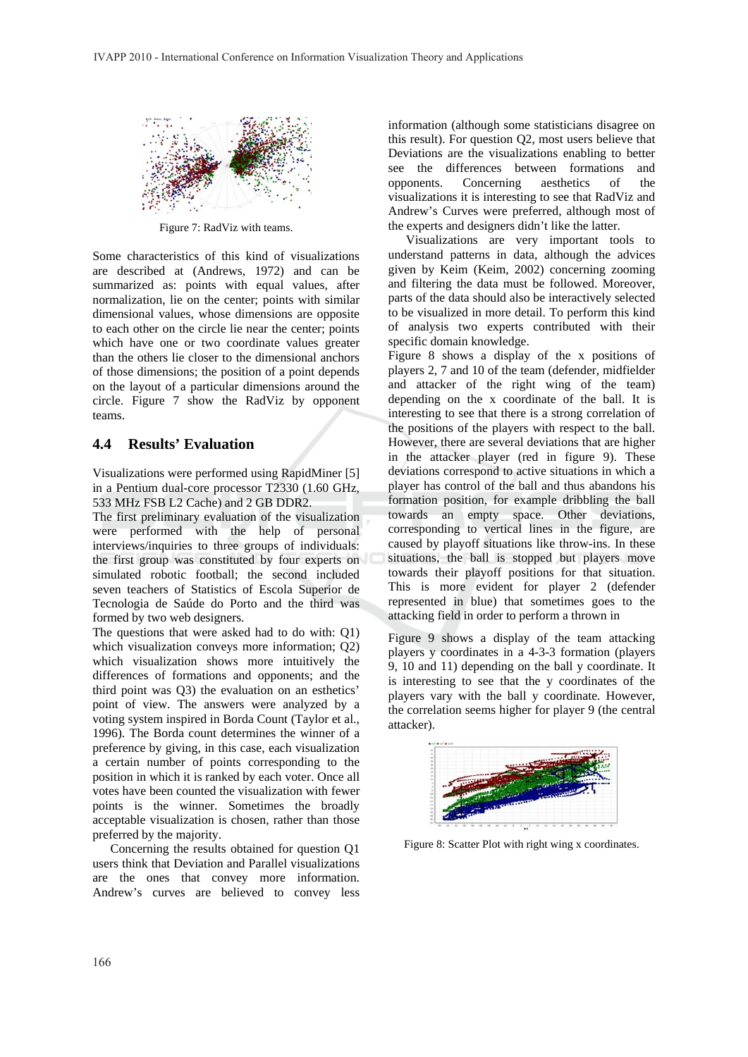

Figure 7: RadViz with teams.

Some characteristics of this kind of visualizations are described at (Andrews, 1972) and can be summarized as: points with equal values, after normalization, lie on the center; points with similar dimensional values, whose dimensions are opposite to each other on the circle lie near the center; points which have one or two coordinate values greater than the others lie closer to the dimensional anchors of those dimensions; the position of a point depends on the layout of a particular dimensions around the circle. Figure 7 show the RadViz by opponent teams.

#### $4.4$ **Results' Evaluation**

Visualizations were performed using RapidMiner [5] in a Pentium dual-core processor T2330 (1.60 GHz, 533 MHz FSB L2 Cache) and 2 GB DDR2.

The first preliminary evaluation of the visualization were performed with the help of personal interviews/inquiries to three groups of individuals: the first group was constituted by four experts on simulated robotic football; the second included seven teachers of Statistics of Escola Superior de Tecnologia de Saúde do Porto and the third was formed by two web designers.

The questions that were asked had to do with: Q1) which visualization conveys more information; Q2) which visualization shows more intuitively the differences of formations and opponents; and the third point was O3) the evaluation on an esthetics' point of view. The answers were analyzed by a voting system inspired in Borda Count (Taylor et al., 1996). The Borda count determines the winner of a preference by giving, in this case, each visualization a certain number of points corresponding to the position in which it is ranked by each voter. Once all votes have been counted the visualization with fewer points is the winner. Sometimes the broadly acceptable visualization is chosen, rather than those preferred by the majority.

Concerning the results obtained for question Q1 users think that Deviation and Parallel visualizations are the ones that convey more information. Andrew's curves are believed to convey less

information (although some statisticians disagree on this result). For question Q2, most users believe that Deviations are the visualizations enabling to better see the differences between formations and opponents. Concerning aesthetics  $\alpha$ the visualizations it is interesting to see that RadViz and Andrew's Curves were preferred, although most of the experts and designers didn't like the latter.

Visualizations are very important tools to understand patterns in data, although the advices given by Keim (Keim, 2002) concerning zooming and filtering the data must be followed. Moreover, parts of the data should also be interactively selected to be visualized in more detail. To perform this kind of analysis two experts contributed with their specific domain knowledge.

Figure 8 shows a display of the x positions of players 2, 7 and 10 of the team (defender, midfielder and attacker of the right wing of the team) depending on the x coordinate of the ball. It is interesting to see that there is a strong correlation of the positions of the players with respect to the ball. However, there are several deviations that are higher in the attacker player (red in figure 9). These deviations correspond to active situations in which a player has control of the ball and thus abandons his formation position, for example dribbling the ball towards an empty space. Other deviations, corresponding to vertical lines in the figure, are caused by playoff situations like throw-ins. In these situations, the ball is stopped but players move towards their playoff positions for that situation. This is more evident for player 2 (defender represented in blue) that sometimes goes to the attacking field in order to perform a thrown in

Figure 9 shows a display of the team attacking players y coordinates in a 4-3-3 formation (players) 9, 10 and 11) depending on the ball y coordinate. It is interesting to see that the y coordinates of the players vary with the ball y coordinate. However, the correlation seems higher for player 9 (the central attacker).



Figure 8: Scatter Plot with right wing x coordinates.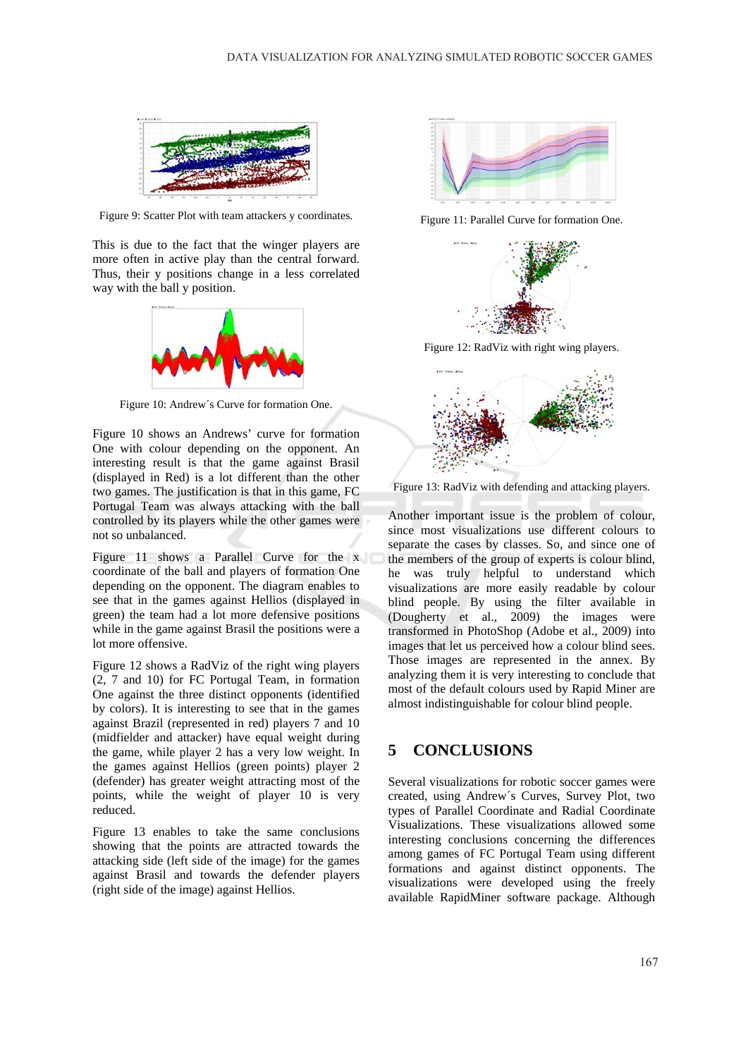

Figure 9: Scatter Plot with team attackers y coordinates.

This is due to the fact that the winger players are more often in active play than the central forward. Thus, their y positions change in a less correlated way with the ball y position.



Figure 10: Andrew's Curve for formation One.

Figure 10 shows an Andrews' curve for formation One with colour depending on the opponent. An interesting result is that the game against Brasil (displayed in Red) is a lot different than the other two games. The justification is that in this game, FC Portugal Team was always attacking with the ball controlled by its players while the other games were not so unbalanced.

Figure 11 shows a Parallel Curve for the x coordinate of the ball and players of formation One depending on the opponent. The diagram enables to see that in the games against Hellios (displayed in green) the team had a lot more defensive positions while in the game against Brasil the positions were a lot more offensive.

Figure 12 shows a RadViz of the right wing players (2, 7 and 10) for FC Portugal Team, in formation One against the three distinct opponents (identified by colors). It is interesting to see that in the games against Brazil (represented in red) players 7 and 10 (midfielder and attacker) have equal weight during the game, while player 2 has a very low weight. In the games against Hellios (green points) player 2 (defender) has greater weight attracting most of the points, while the weight of player 10 is very reduced.

Figure 13 enables to take the same conclusions showing that the points are attracted towards the attacking side (left side of the image) for the games against Brasil and towards the defender players (right side of the image) against Hellios.



Figure 11: Parallel Curve for formation One.



Figure 12: RadViz with right wing players.



Figure 13: RadViz with defending and attacking players.

Another important issue is the problem of colour, since most visualizations use different colours to separate the cases by classes. So, and since one of the members of the group of experts is colour blind, he was truly helpful to understand which visualizations are more easily readable by colour blind people. By using the filter available in (Dougherty et al., 2009) the images were transformed in PhotoShop (Adobe et al., 2009) into images that let us perceived how a colour blind sees. Those images are represented in the annex. By analyzing them it is very interesting to conclude that most of the default colours used by Rapid Miner are almost indistinguishable for colour blind people.

### **CONCLUSIONS** 5

Several visualizations for robotic soccer games were created, using Andrew's Curves, Survey Plot, two types of Parallel Coordinate and Radial Coordinate Visualizations. These visualizations allowed some interesting conclusions concerning the differences among games of FC Portugal Team using different formations and against distinct opponents. The visualizations were developed using the freely available RapidMiner software package. Although